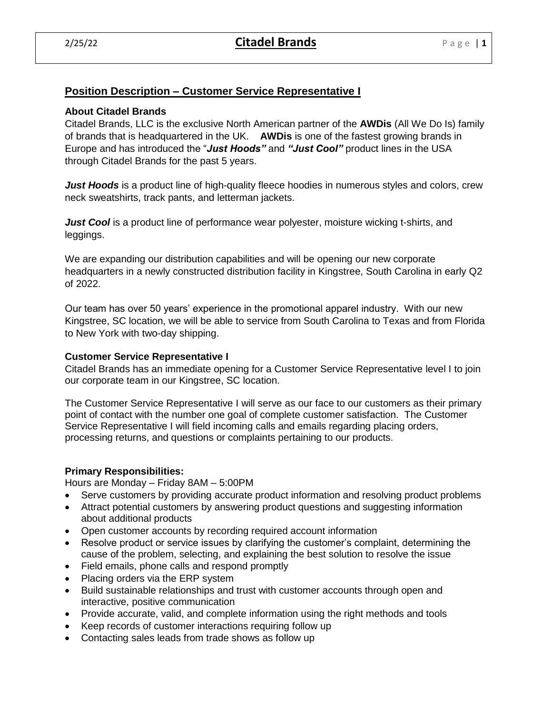# **Position Description – Customer Service Representative I**

### **About Citadel Brands**

Citadel Brands, LLC is the exclusive North American partner of the **AWDis** (All We Do Is) family of brands that is headquartered in the UK. **AWDis** is one of the fastest growing brands in Europe and has introduced the "*Just Hoods"* and *"Just Cool"* product lines in the USA through Citadel Brands for the past 5 years.

*Just Hoods* is a product line of high-quality fleece hoodies in numerous styles and colors, crew neck sweatshirts, track pants, and letterman jackets.

*Just Cool* is a product line of performance wear polyester, moisture wicking t-shirts, and leggings.

We are expanding our distribution capabilities and will be opening our new corporate headquarters in a newly constructed distribution facility in Kingstree, South Carolina in early Q2 of 2022.

Our team has over 50 years' experience in the promotional apparel industry. With our new Kingstree, SC location, we will be able to service from South Carolina to Texas and from Florida to New York with two-day shipping.

## **Customer Service Representative I**

Citadel Brands has an immediate opening for a Customer Service Representative level I to join our corporate team in our Kingstree, SC location.

The Customer Service Representative I will serve as our face to our customers as their primary point of contact with the number one goal of complete customer satisfaction. The Customer Service Representative I will field incoming calls and emails regarding placing orders, processing returns, and questions or complaints pertaining to our products.

### **Primary Responsibilities:**

Hours are Monday – Friday 8AM – 5:00PM

- Serve customers by providing accurate product information and resolving product problems
- Attract potential customers by answering product questions and suggesting information about additional products
- Open customer accounts by recording required account information
- Resolve product or service issues by clarifying the customer's complaint, determining the cause of the problem, selecting, and explaining the best solution to resolve the issue
- Field emails, phone calls and respond promptly
- Placing orders via the ERP system
- Build sustainable relationships and trust with customer accounts through open and interactive, positive communication
- Provide accurate, valid, and complete information using the right methods and tools
- Keep records of customer interactions requiring follow up
- Contacting sales leads from trade shows as follow up